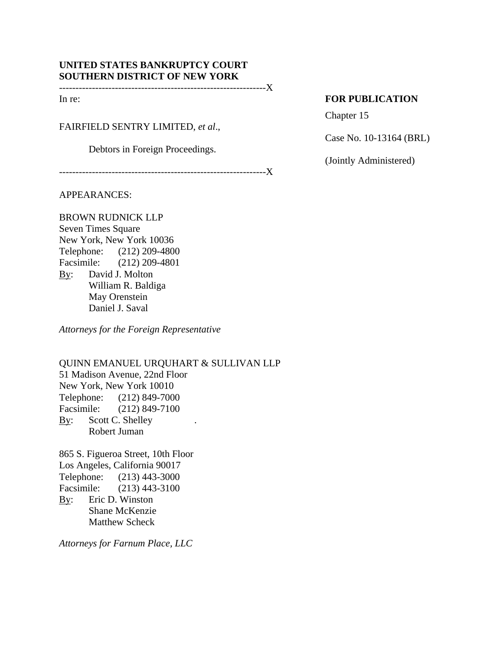# **UNITED STATES BANKRUPTCY COURT SOUTHERN DISTRICT OF NEW YORK**

---------------------------------------------------------------X

FAIRFIELD SENTRY LIMITED, *et al*.,

Debtors in Foreign Proceedings.

---------------------------------------------------------------X

APPEARANCES:

BROWN RUDNICK LLP Seven Times Square New York, New York 10036 Telephone: (212) 209-4800 Facsimile: (212) 209-4801 By: David J. Molton William R. Baldiga May Orenstein Daniel J. Saval

*Attorneys for the Foreign Representative* 

QUINN EMANUEL URQUHART & SULLIVAN LLP 51 Madison Avenue, 22nd Floor New York, New York 10010 Telephone: (212) 849-7000 Facsimile: (212) 849-7100 By: Scott C. Shelley . Robert Juman

865 S. Figueroa Street, 10th Floor Los Angeles, California 90017 Telephone: (213) 443-3000 Facsimile: (213) 443-3100 By: Eric D. Winston Shane McKenzie Matthew Scheck

*Attorneys for Farnum Place, LLC* 

# In re: **FOR PUBLICATION**

Chapter 15

Case No. 10-13164 (BRL)

(Jointly Administered)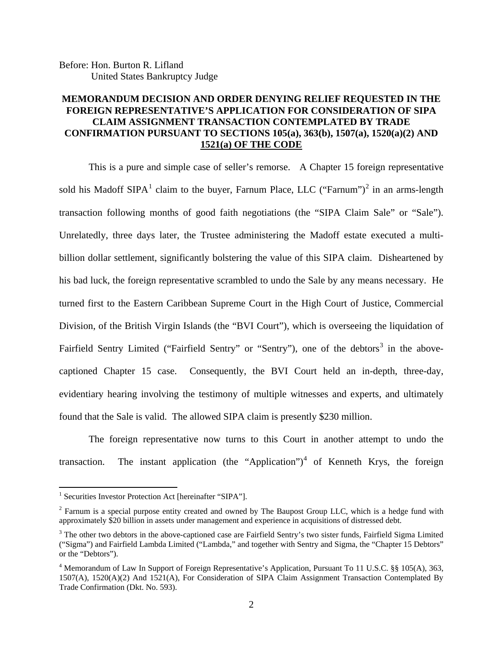Before: Hon. Burton R. Lifland United States Bankruptcy Judge

# **MEMORANDUM DECISION AND ORDER DENYING RELIEF REQUESTED IN THE FOREIGN REPRESENTATIVE'S APPLICATION FOR CONSIDERATION OF SIPA CLAIM ASSIGNMENT TRANSACTION CONTEMPLATED BY TRADE CONFIRMATION PURSUANT TO SECTIONS 105(a), 363(b), 1507(a), 1520(a)(2) AND 1521(a) OF THE CODE**

This is a pure and simple case of seller's remorse. A Chapter 15 foreign representative sold his Madoff SIPA<sup>1</sup> claim to the buyer, Farnum Place, LLC ("Farnum")<sup>2</sup> in an arms-length transaction following months of good faith negotiations (the "SIPA Claim Sale" or "Sale"). Unrelatedly, three days later, the Trustee administering the Madoff estate executed a multibillion dollar settlement, significantly bolstering the value of this SIPA claim. Disheartened by his bad luck, the foreign representative scrambled to undo the Sale by any means necessary. He turned first to the Eastern Caribbean Supreme Court in the High Court of Justice, Commercial Division, of the British Virgin Islands (the "BVI Court"), which is overseeing the liquidation of Fairfield Sentry Limited ("Fairfield Sentry" or "Sentry"), one of the debtors<sup>3</sup> in the abovecaptioned Chapter 15 case. Consequently, the BVI Court held an in-depth, three-day, evidentiary hearing involving the testimony of multiple witnesses and experts, and ultimately found that the Sale is valid. The allowed SIPA claim is presently \$230 million.

The foreign representative now turns to this Court in another attempt to undo the transaction. The instant application (the "Application")<sup>4</sup> of Kenneth Krys, the foreign

<sup>&</sup>lt;sup>1</sup> Securities Investor Protection Act [hereinafter "SIPA"].

<sup>&</sup>lt;sup>2</sup> Farnum is a special purpose entity created and owned by The Baupost Group LLC, which is a hedge fund with approximately \$20 billion in assets under management and experience in acquisitions of distressed debt.

 $3$  The other two debtors in the above-captioned case are Fairfield Sentry's two sister funds, Fairfield Sigma Limited ("Sigma") and Fairfield Lambda Limited ("Lambda," and together with Sentry and Sigma, the "Chapter 15 Debtors" or the "Debtors").

<sup>&</sup>lt;sup>4</sup> Memorandum of Law In Support of Foreign Representative's Application, Pursuant To 11 U.S.C. §§ 105(A), 363, 1507(A), 1520(A)(2) And 1521(A), For Consideration of SIPA Claim Assignment Transaction Contemplated By Trade Confirmation (Dkt. No. 593).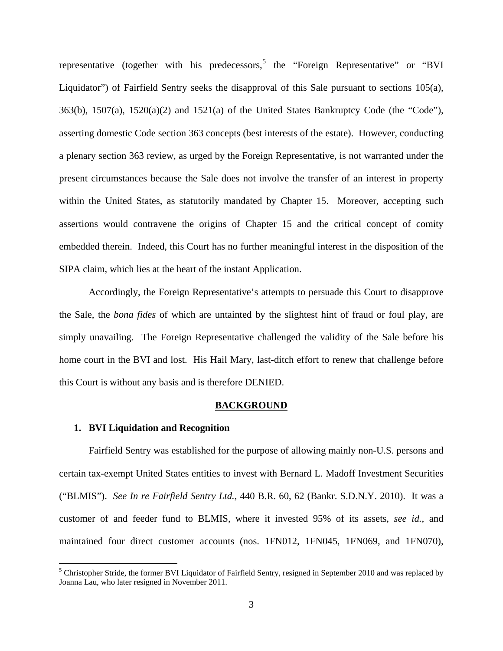representative (together with his predecessors,  $5$  the "Foreign Representative" or "BVI Liquidator") of Fairfield Sentry seeks the disapproval of this Sale pursuant to sections 105(a), 363(b), 1507(a), 1520(a)(2) and 1521(a) of the United States Bankruptcy Code (the "Code"), asserting domestic Code section 363 concepts (best interests of the estate). However, conducting a plenary section 363 review, as urged by the Foreign Representative, is not warranted under the present circumstances because the Sale does not involve the transfer of an interest in property within the United States, as statutorily mandated by Chapter 15. Moreover, accepting such assertions would contravene the origins of Chapter 15 and the critical concept of comity embedded therein. Indeed, this Court has no further meaningful interest in the disposition of the SIPA claim, which lies at the heart of the instant Application.

Accordingly, the Foreign Representative's attempts to persuade this Court to disapprove the Sale, the *bona fides* of which are untainted by the slightest hint of fraud or foul play, are simply unavailing. The Foreign Representative challenged the validity of the Sale before his home court in the BVI and lost. His Hail Mary, last-ditch effort to renew that challenge before this Court is without any basis and is therefore DENIED.

### **BACKGROUND**

### **1. BVI Liquidation and Recognition**

 $\overline{a}$ 

Fairfield Sentry was established for the purpose of allowing mainly non-U.S. persons and certain tax-exempt United States entities to invest with Bernard L. Madoff Investment Securities ("BLMIS"). *See In re Fairfield Sentry Ltd.*, 440 B.R. 60, 62 (Bankr. S.D.N.Y. 2010). It was a customer of and feeder fund to BLMIS, where it invested 95% of its assets, *see id.*, and maintained four direct customer accounts (nos. 1FN012, 1FN045, 1FN069, and 1FN070),

<sup>&</sup>lt;sup>5</sup> Christopher Stride, the former BVI Liquidator of Fairfield Sentry, resigned in September 2010 and was replaced by Joanna Lau, who later resigned in November 2011.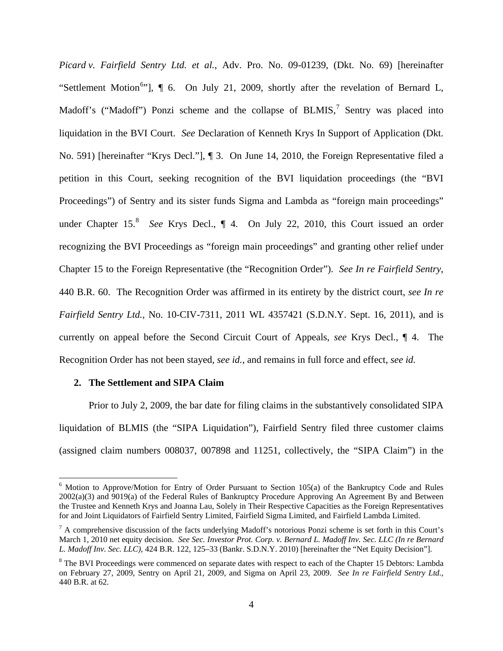*Picard v. Fairfield Sentry Ltd. et al.*, Adv. Pro. No. 09-01239, (Dkt. No. 69) [hereinafter "Settlement Motion<sup>6</sup>"],  $\P$  6. On July 21, 2009, shortly after the revelation of Bernard L, Madoff's ("Madoff") Ponzi scheme and the collapse of  $BLMIS$ , Sentry was placed into liquidation in the BVI Court. *See* Declaration of Kenneth Krys In Support of Application (Dkt. No. 591) [hereinafter "Krys Decl."], ¶ 3. On June 14, 2010, the Foreign Representative filed a petition in this Court, seeking recognition of the BVI liquidation proceedings (the "BVI Proceedings") of Sentry and its sister funds Sigma and Lambda as "foreign main proceedings" under Chapter 15.<sup>8</sup> See Krys Decl., ¶ 4. On July 22, 2010, this Court issued an order recognizing the BVI Proceedings as "foreign main proceedings" and granting other relief under Chapter 15 to the Foreign Representative (the "Recognition Order"). *See In re Fairfield Sentry*, 440 B.R. 60. The Recognition Order was affirmed in its entirety by the district court, *see In re Fairfield Sentry Ltd.*, No. 10-CIV-7311, 2011 WL 4357421 (S.D.N.Y. Sept. 16, 2011), and is currently on appeal before the Second Circuit Court of Appeals, *see* Krys Decl., ¶ 4. The Recognition Order has not been stayed, *see id.*, and remains in full force and effect, *see id.*

## **2. The Settlement and SIPA Claim**

 $\overline{a}$ 

Prior to July 2, 2009, the bar date for filing claims in the substantively consolidated SIPA liquidation of BLMIS (the "SIPA Liquidation"), Fairfield Sentry filed three customer claims (assigned claim numbers 008037, 007898 and 11251, collectively, the "SIPA Claim") in the

 $6$  Motion to Approve/Motion for Entry of Order Pursuant to Section 105(a) of the Bankruptcy Code and Rules 2002(a)(3) and 9019(a) of the Federal Rules of Bankruptcy Procedure Approving An Agreement By and Between the Trustee and Kenneth Krys and Joanna Lau, Solely in Their Respective Capacities as the Foreign Representatives for and Joint Liquidators of Fairfield Sentry Limited, Fairfield Sigma Limited, and Fairfield Lambda Limited.

 $<sup>7</sup>$  A comprehensive discussion of the facts underlying Madoff's notorious Ponzi scheme is set forth in this Court's</sup> March 1, 2010 net equity decision. *See Sec. Investor Prot. Corp. v. Bernard L. Madoff Inv. Sec. LLC (In re Bernard L. Madoff Inv. Sec. LLC),* 424 B.R. 122, 125–33 (Bankr. S.D.N.Y. 2010) [hereinafter the "Net Equity Decision"].

<sup>&</sup>lt;sup>8</sup> The BVI Proceedings were commenced on separate dates with respect to each of the Chapter 15 Debtors: Lambda on February 27, 2009, Sentry on April 21, 2009, and Sigma on April 23, 2009. *See In re Fairfield Sentry Ltd.*, 440 B.R. at 62.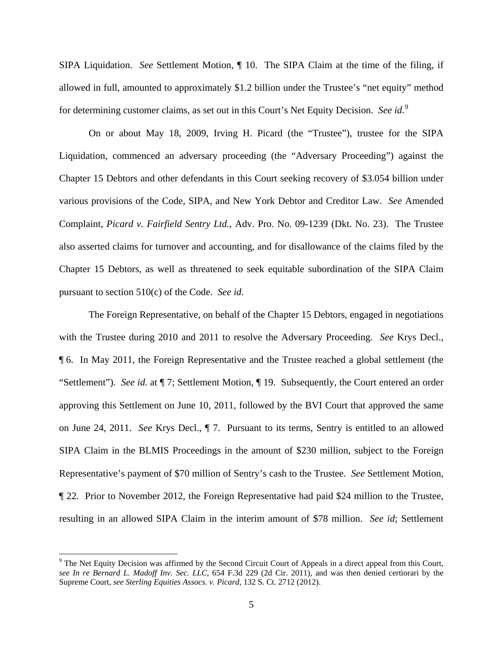SIPA Liquidation. *See* Settlement Motion, ¶ 10. The SIPA Claim at the time of the filing, if allowed in full, amounted to approximately \$1.2 billion under the Trustee's "net equity" method for determining customer claims, as set out in this Court's Net Equity Decision. See id.<sup>9</sup>

On or about May 18, 2009, Irving H. Picard (the "Trustee"), trustee for the SIPA Liquidation, commenced an adversary proceeding (the "Adversary Proceeding") against the Chapter 15 Debtors and other defendants in this Court seeking recovery of \$3.054 billion under various provisions of the Code, SIPA, and New York Debtor and Creditor Law. *See* Amended Complaint, *Picard v. Fairfield Sentry Ltd.*, Adv. Pro. No. 09-1239 (Dkt. No. 23). The Trustee also asserted claims for turnover and accounting, and for disallowance of the claims filed by the Chapter 15 Debtors, as well as threatened to seek equitable subordination of the SIPA Claim pursuant to section 510(c) of the Code. *See id*.

The Foreign Representative, on behalf of the Chapter 15 Debtors, engaged in negotiations with the Trustee during 2010 and 2011 to resolve the Adversary Proceeding. *See* Krys Decl., ¶ 6. In May 2011, the Foreign Representative and the Trustee reached a global settlement (the "Settlement"). *See id.* at ¶ 7; Settlement Motion, ¶ 19. Subsequently, the Court entered an order approving this Settlement on June 10, 2011, followed by the BVI Court that approved the same on June 24, 2011. *See* Krys Decl., ¶ 7. Pursuant to its terms, Sentry is entitled to an allowed SIPA Claim in the BLMIS Proceedings in the amount of \$230 million, subject to the Foreign Representative's payment of \$70 million of Sentry's cash to the Trustee. *See* Settlement Motion, ¶ 22. Prior to November 2012, the Foreign Representative had paid \$24 million to the Trustee, resulting in an allowed SIPA Claim in the interim amount of \$78 million. *See id*; Settlement

1

<sup>&</sup>lt;sup>9</sup> The Net Equity Decision was affirmed by the Second Circuit Court of Appeals in a direct appeal from this Court, *see In re Bernard L. Madoff Inv. Sec. LLC*, 654 F.3d 229 (2d Cir. 2011), and was then denied certiorari by the Supreme Court, *see Sterling Equities Assocs. v. Picard*, 132 S. Ct. 2712 (2012).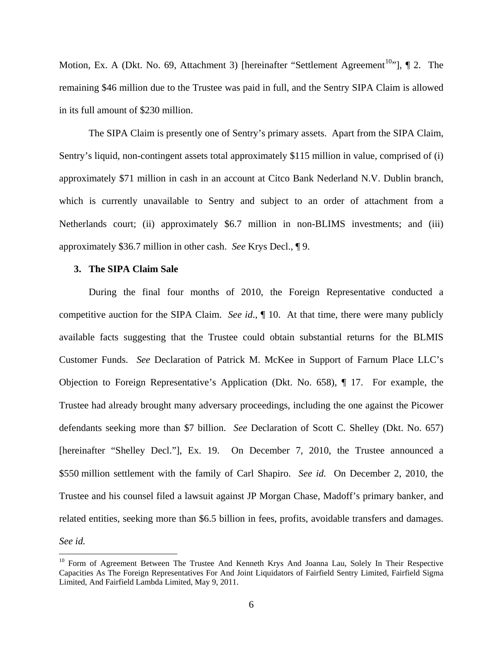Motion, Ex. A (Dkt. No. 69, Attachment 3) [hereinafter "Settlement Agreement<sup>10</sup>"],  $\P$  2. The remaining \$46 million due to the Trustee was paid in full, and the Sentry SIPA Claim is allowed in its full amount of \$230 million.

The SIPA Claim is presently one of Sentry's primary assets. Apart from the SIPA Claim, Sentry's liquid, non-contingent assets total approximately \$115 million in value, comprised of (i) approximately \$71 million in cash in an account at Citco Bank Nederland N.V. Dublin branch, which is currently unavailable to Sentry and subject to an order of attachment from a Netherlands court; (ii) approximately \$6.7 million in non-BLIMS investments; and (iii) approximately \$36.7 million in other cash. *See* Krys Decl., ¶ 9.

### **3. The SIPA Claim Sale**

 $\overline{a}$ 

During the final four months of 2010, the Foreign Representative conducted a competitive auction for the SIPA Claim. *See id*., ¶ 10. At that time, there were many publicly available facts suggesting that the Trustee could obtain substantial returns for the BLMIS Customer Funds. *See* Declaration of Patrick M. McKee in Support of Farnum Place LLC's Objection to Foreign Representative's Application (Dkt. No. 658), ¶ 17. For example, the Trustee had already brought many adversary proceedings, including the one against the Picower defendants seeking more than \$7 billion. *See* Declaration of Scott C. Shelley (Dkt. No. 657) [hereinafter "Shelley Decl."], Ex. 19. On December 7, 2010, the Trustee announced a \$550 million settlement with the family of Carl Shapiro. *See id.* On December 2, 2010, the Trustee and his counsel filed a lawsuit against JP Morgan Chase, Madoff's primary banker, and related entities, seeking more than \$6.5 billion in fees, profits, avoidable transfers and damages. *See id.*

<sup>&</sup>lt;sup>10</sup> Form of Agreement Between The Trustee And Kenneth Krys And Joanna Lau, Solely In Their Respective Capacities As The Foreign Representatives For And Joint Liquidators of Fairfield Sentry Limited, Fairfield Sigma Limited, And Fairfield Lambda Limited, May 9, 2011.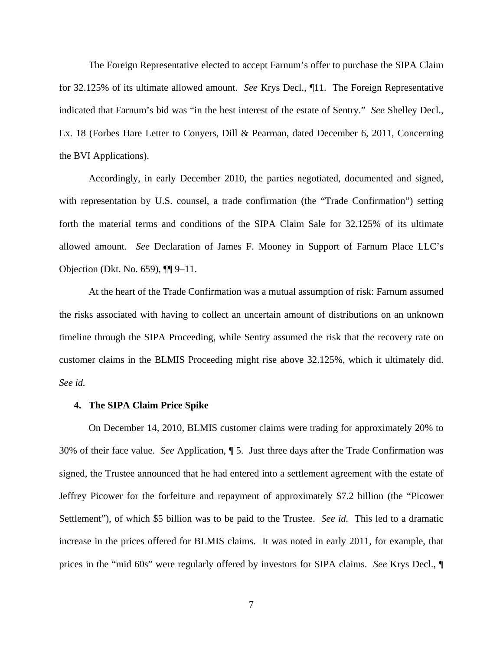The Foreign Representative elected to accept Farnum's offer to purchase the SIPA Claim for 32.125% of its ultimate allowed amount. *See* Krys Decl., ¶11. The Foreign Representative indicated that Farnum's bid was "in the best interest of the estate of Sentry." *See* Shelley Decl., Ex. 18 (Forbes Hare Letter to Conyers, Dill & Pearman, dated December 6, 2011, Concerning the BVI Applications).

Accordingly, in early December 2010, the parties negotiated, documented and signed, with representation by U.S. counsel, a trade confirmation (the "Trade Confirmation") setting forth the material terms and conditions of the SIPA Claim Sale for 32.125% of its ultimate allowed amount. *See* Declaration of James F. Mooney in Support of Farnum Place LLC's Objection (Dkt. No. 659), ¶¶ 9–11.

At the heart of the Trade Confirmation was a mutual assumption of risk: Farnum assumed the risks associated with having to collect an uncertain amount of distributions on an unknown timeline through the SIPA Proceeding, while Sentry assumed the risk that the recovery rate on customer claims in the BLMIS Proceeding might rise above 32.125%, which it ultimately did. *See id.* 

## **4. The SIPA Claim Price Spike**

On December 14, 2010, BLMIS customer claims were trading for approximately 20% to 30% of their face value. *See* Application, ¶ 5. Just three days after the Trade Confirmation was signed, the Trustee announced that he had entered into a settlement agreement with the estate of Jeffrey Picower for the forfeiture and repayment of approximately \$7.2 billion (the "Picower Settlement"), of which \$5 billion was to be paid to the Trustee. *See id.* This led to a dramatic increase in the prices offered for BLMIS claims. It was noted in early 2011, for example, that prices in the "mid 60s" were regularly offered by investors for SIPA claims. *See* Krys Decl., ¶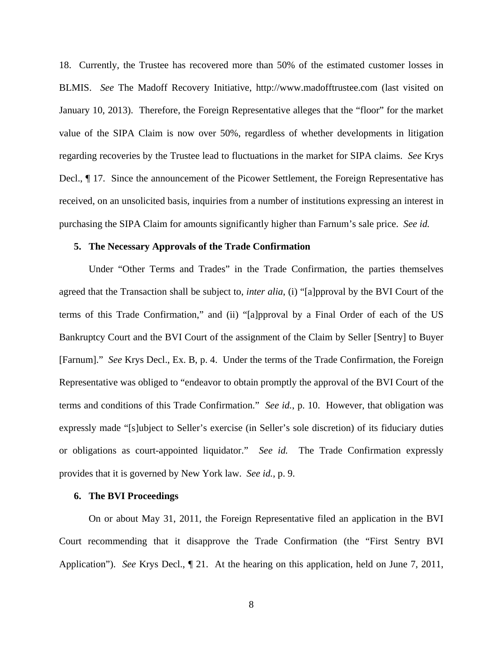18. Currently, the Trustee has recovered more than 50% of the estimated customer losses in BLMIS. *See* The Madoff Recovery Initiative, http://www.madofftrustee.com (last visited on January 10, 2013). Therefore, the Foreign Representative alleges that the "floor" for the market value of the SIPA Claim is now over 50%, regardless of whether developments in litigation regarding recoveries by the Trustee lead to fluctuations in the market for SIPA claims. *See* Krys Decl., ¶ 17. Since the announcement of the Picower Settlement, the Foreign Representative has received, on an unsolicited basis, inquiries from a number of institutions expressing an interest in purchasing the SIPA Claim for amounts significantly higher than Farnum's sale price. *See id.*

### **5. The Necessary Approvals of the Trade Confirmation**

Under "Other Terms and Trades" in the Trade Confirmation, the parties themselves agreed that the Transaction shall be subject to, *inter alia*, (i) "[a]pproval by the BVI Court of the terms of this Trade Confirmation," and (ii) "[a]pproval by a Final Order of each of the US Bankruptcy Court and the BVI Court of the assignment of the Claim by Seller [Sentry] to Buyer [Farnum]." *See* Krys Decl., Ex. B, p. 4. Under the terms of the Trade Confirmation, the Foreign Representative was obliged to "endeavor to obtain promptly the approval of the BVI Court of the terms and conditions of this Trade Confirmation." *See id.*, p. 10. However, that obligation was expressly made "[s]ubject to Seller's exercise (in Seller's sole discretion) of its fiduciary duties or obligations as court-appointed liquidator." *See id.* The Trade Confirmation expressly provides that it is governed by New York law. *See id.*, p. 9.

## **6. The BVI Proceedings**

On or about May 31, 2011, the Foreign Representative filed an application in the BVI Court recommending that it disapprove the Trade Confirmation (the "First Sentry BVI Application"). *See* Krys Decl., ¶ 21. At the hearing on this application, held on June 7, 2011,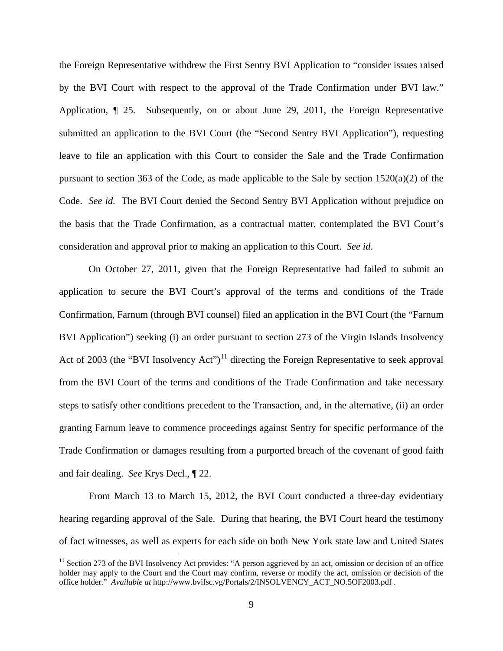the Foreign Representative withdrew the First Sentry BVI Application to "consider issues raised by the BVI Court with respect to the approval of the Trade Confirmation under BVI law." Application, ¶ 25. Subsequently, on or about June 29, 2011, the Foreign Representative submitted an application to the BVI Court (the "Second Sentry BVI Application"), requesting leave to file an application with this Court to consider the Sale and the Trade Confirmation pursuant to section 363 of the Code, as made applicable to the Sale by section  $1520(a)(2)$  of the Code. *See id.* The BVI Court denied the Second Sentry BVI Application without prejudice on the basis that the Trade Confirmation, as a contractual matter, contemplated the BVI Court's consideration and approval prior to making an application to this Court. *See id*.

On October 27, 2011, given that the Foreign Representative had failed to submit an application to secure the BVI Court's approval of the terms and conditions of the Trade Confirmation, Farnum (through BVI counsel) filed an application in the BVI Court (the "Farnum BVI Application") seeking (i) an order pursuant to section 273 of the Virgin Islands Insolvency Act of 2003 (the "BVI Insolvency Act")<sup>11</sup> directing the Foreign Representative to seek approval from the BVI Court of the terms and conditions of the Trade Confirmation and take necessary steps to satisfy other conditions precedent to the Transaction, and, in the alternative, (ii) an order granting Farnum leave to commence proceedings against Sentry for specific performance of the Trade Confirmation or damages resulting from a purported breach of the covenant of good faith and fair dealing. *See* Krys Decl., ¶ 22.

From March 13 to March 15, 2012, the BVI Court conducted a three-day evidentiary hearing regarding approval of the Sale. During that hearing, the BVI Court heard the testimony of fact witnesses, as well as experts for each side on both New York state law and United States

<sup>&</sup>lt;sup>11</sup> Section 273 of the BVI Insolvency Act provides: "A person aggrieved by an act, omission or decision of an office holder may apply to the Court and the Court may confirm, reverse or modify the act, omission or decision of the office holder." *Available at* http://www.bvifsc.vg/Portals/2/INSOLVENCY\_ACT\_NO.5OF2003.pdf .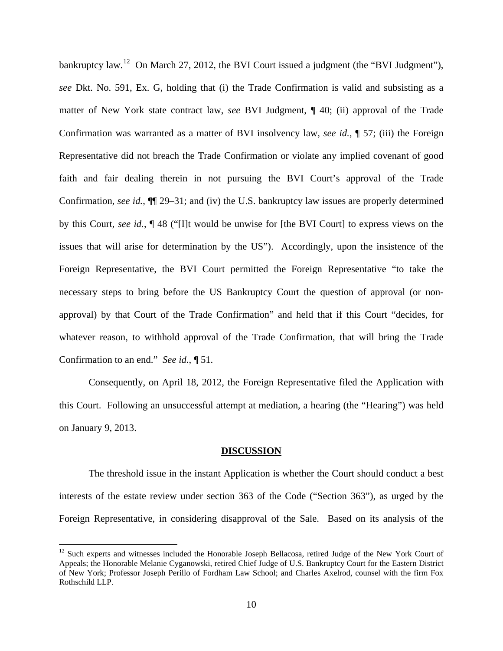bankruptcy law.<sup>12</sup> On March 27, 2012, the BVI Court issued a judgment (the "BVI Judgment"), *see* Dkt. No. 591, Ex. G, holding that (i) the Trade Confirmation is valid and subsisting as a matter of New York state contract law, *see* BVI Judgment, ¶ 40; (ii) approval of the Trade Confirmation was warranted as a matter of BVI insolvency law, *see id.*, ¶ 57; (iii) the Foreign Representative did not breach the Trade Confirmation or violate any implied covenant of good faith and fair dealing therein in not pursuing the BVI Court's approval of the Trade Confirmation, *see id.*, ¶¶ 29–31; and (iv) the U.S. bankruptcy law issues are properly determined by this Court, *see id.*, ¶ 48 ("[I]t would be unwise for [the BVI Court] to express views on the issues that will arise for determination by the US"). Accordingly, upon the insistence of the Foreign Representative, the BVI Court permitted the Foreign Representative "to take the necessary steps to bring before the US Bankruptcy Court the question of approval (or nonapproval) by that Court of the Trade Confirmation" and held that if this Court "decides, for whatever reason, to withhold approval of the Trade Confirmation, that will bring the Trade Confirmation to an end." *See id.*, ¶ 51.

Consequently, on April 18, 2012, the Foreign Representative filed the Application with this Court. Following an unsuccessful attempt at mediation, a hearing (the "Hearing") was held on January 9, 2013.

#### **DISCUSSION**

The threshold issue in the instant Application is whether the Court should conduct a best interests of the estate review under section 363 of the Code ("Section 363"), as urged by the Foreign Representative, in considering disapproval of the Sale. Based on its analysis of the

 $12$  Such experts and witnesses included the Honorable Joseph Bellacosa, retired Judge of the New York Court of Appeals; the Honorable Melanie Cyganowski, retired Chief Judge of U.S. Bankruptcy Court for the Eastern District of New York; Professor Joseph Perillo of Fordham Law School; and Charles Axelrod, counsel with the firm Fox Rothschild LLP.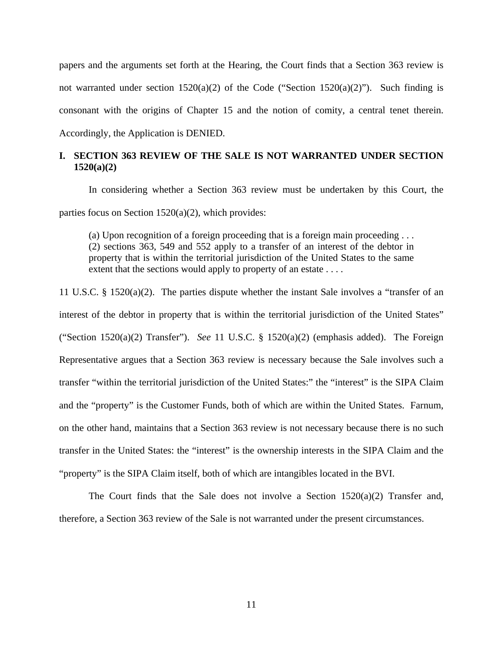papers and the arguments set forth at the Hearing, the Court finds that a Section 363 review is not warranted under section  $1520(a)(2)$  of the Code ("Section  $1520(a)(2)$ "). Such finding is consonant with the origins of Chapter 15 and the notion of comity, a central tenet therein. Accordingly, the Application is DENIED.

# **I. SECTION 363 REVIEW OF THE SALE IS NOT WARRANTED UNDER SECTION 1520(a)(2)**

In considering whether a Section 363 review must be undertaken by this Court, the parties focus on Section 1520(a)(2), which provides:

(a) Upon recognition of a foreign proceeding that is a foreign main proceeding . . . (2) sections 363, 549 and 552 apply to a transfer of an interest of the debtor in property that is within the territorial jurisdiction of the United States to the same extent that the sections would apply to property of an estate . . . .

11 U.S.C. § 1520(a)(2). The parties dispute whether the instant Sale involves a "transfer of an interest of the debtor in property that is within the territorial jurisdiction of the United States" ("Section 1520(a)(2) Transfer"). *See* 11 U.S.C. § 1520(a)(2) (emphasis added). The Foreign Representative argues that a Section 363 review is necessary because the Sale involves such a transfer "within the territorial jurisdiction of the United States:" the "interest" is the SIPA Claim and the "property" is the Customer Funds, both of which are within the United States. Farnum, on the other hand, maintains that a Section 363 review is not necessary because there is no such transfer in the United States: the "interest" is the ownership interests in the SIPA Claim and the "property" is the SIPA Claim itself, both of which are intangibles located in the BVI.

The Court finds that the Sale does not involve a Section  $1520(a)(2)$  Transfer and, therefore, a Section 363 review of the Sale is not warranted under the present circumstances.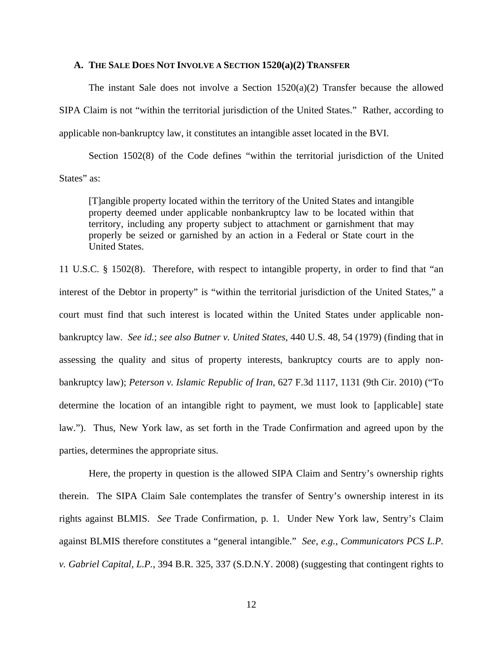## **A. THE SALE DOES NOT INVOLVE A SECTION 1520(a)(2) TRANSFER**

The instant Sale does not involve a Section  $1520(a)(2)$  Transfer because the allowed SIPA Claim is not "within the territorial jurisdiction of the United States." Rather, according to applicable non-bankruptcy law, it constitutes an intangible asset located in the BVI.

Section 1502(8) of the Code defines "within the territorial jurisdiction of the United States" as:

[T]angible property located within the territory of the United States and intangible property deemed under applicable nonbankruptcy law to be located within that territory, including any property subject to attachment or garnishment that may properly be seized or garnished by an action in a Federal or State court in the United States.

11 U.S.C. § 1502(8). Therefore, with respect to intangible property, in order to find that "an interest of the Debtor in property" is "within the territorial jurisdiction of the United States," a court must find that such interest is located within the United States under applicable nonbankruptcy law. *See id.*; *see also Butner v. United States*, 440 U.S. 48, 54 (1979) (finding that in assessing the quality and situs of property interests, bankruptcy courts are to apply nonbankruptcy law); *Peterson v. Islamic Republic of Iran*, 627 F.3d 1117, 1131 (9th Cir. 2010) ("To determine the location of an intangible right to payment, we must look to [applicable] state law."). Thus, New York law, as set forth in the Trade Confirmation and agreed upon by the parties, determines the appropriate situs.

Here, the property in question is the allowed SIPA Claim and Sentry's ownership rights therein. The SIPA Claim Sale contemplates the transfer of Sentry's ownership interest in its rights against BLMIS. *See* Trade Confirmation, p. 1. Under New York law, Sentry's Claim against BLMIS therefore constitutes a "general intangible." *See, e.g.*, *Communicators PCS L.P. v. Gabriel Capital, L.P.*, 394 B.R. 325, 337 (S.D.N.Y. 2008) (suggesting that contingent rights to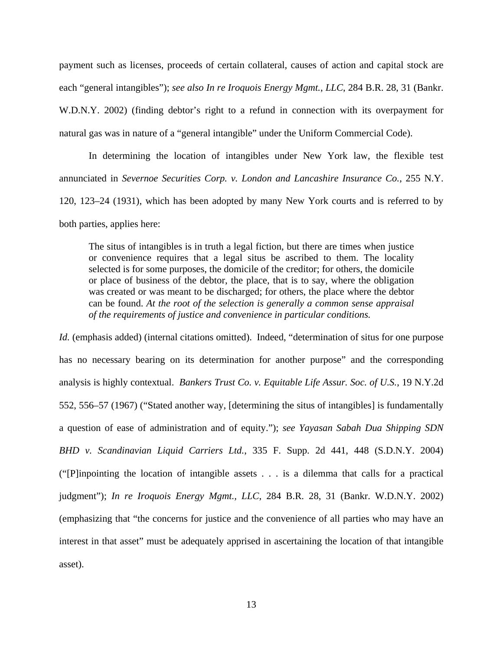payment such as licenses, proceeds of certain collateral, causes of action and capital stock are each "general intangibles"); *see also In re Iroquois Energy Mgmt.*, *LLC*, 284 B.R. 28, 31 (Bankr. W.D.N.Y. 2002) (finding debtor's right to a refund in connection with its overpayment for natural gas was in nature of a "general intangible" under the Uniform Commercial Code).

In determining the location of intangibles under New York law, the flexible test annunciated in *Severnoe Securities Corp. v. London and Lancashire Insurance Co.*, 255 N.Y. 120, 123–24 (1931), which has been adopted by many New York courts and is referred to by both parties, applies here:

The situs of intangibles is in truth a legal fiction, but there are times when justice or convenience requires that a legal situs be ascribed to them. The locality selected is for some purposes, the domicile of the creditor; for others, the domicile or place of business of the debtor, the place, that is to say, where the obligation was created or was meant to be discharged; for others, the place where the debtor can be found. *At the root of the selection is generally a common sense appraisal of the requirements of justice and convenience in particular conditions.*

*Id.* (emphasis added) (internal citations omitted). Indeed, "determination of situs for one purpose has no necessary bearing on its determination for another purpose" and the corresponding analysis is highly contextual. *Bankers Trust Co. v. Equitable Life Assur. Soc. of U.S.*, 19 N.Y.2d 552, 556–57 (1967) ("Stated another way, [determining the situs of intangibles] is fundamentally a question of ease of administration and of equity."); *see Yayasan Sabah Dua Shipping SDN BHD v. Scandinavian Liquid Carriers Ltd.*, 335 F. Supp. 2d 441, 448 (S.D.N.Y. 2004) ("[P]inpointing the location of intangible assets . . . is a dilemma that calls for a practical judgment"); *In re Iroquois Energy Mgmt., LLC*, 284 B.R. 28, 31 (Bankr. W.D.N.Y. 2002) (emphasizing that "the concerns for justice and the convenience of all parties who may have an interest in that asset" must be adequately apprised in ascertaining the location of that intangible asset).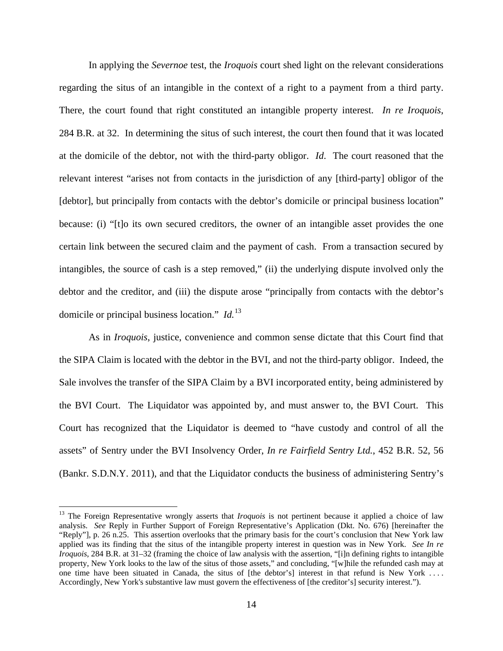In applying the *Severnoe* test, the *Iroquois* court shed light on the relevant considerations regarding the situs of an intangible in the context of a right to a payment from a third party. There, the court found that right constituted an intangible property interest. *In re Iroquois*, 284 B.R. at 32. In determining the situs of such interest, the court then found that it was located at the domicile of the debtor, not with the third-party obligor. *Id*. The court reasoned that the relevant interest "arises not from contacts in the jurisdiction of any [third-party] obligor of the [debtor], but principally from contacts with the debtor's domicile or principal business location" because: (i) "[t]o its own secured creditors, the owner of an intangible asset provides the one certain link between the secured claim and the payment of cash. From a transaction secured by intangibles, the source of cash is a step removed," (ii) the underlying dispute involved only the debtor and the creditor, and (iii) the dispute arose "principally from contacts with the debtor's domicile or principal business location." *Id.*<sup>13</sup>

As in *Iroquois*, justice, convenience and common sense dictate that this Court find that the SIPA Claim is located with the debtor in the BVI, and not the third-party obligor. Indeed, the Sale involves the transfer of the SIPA Claim by a BVI incorporated entity, being administered by the BVI Court. The Liquidator was appointed by, and must answer to, the BVI Court. This Court has recognized that the Liquidator is deemed to "have custody and control of all the assets" of Sentry under the BVI Insolvency Order, *In re Fairfield Sentry Ltd.*, 452 B.R. 52, 56 (Bankr. S.D.N.Y. 2011), and that the Liquidator conducts the business of administering Sentry's

<sup>&</sup>lt;sup>13</sup> The Foreign Representative wrongly asserts that *Iroquois* is not pertinent because it applied a choice of law analysis. *See* Reply in Further Support of Foreign Representative's Application (Dkt. No. 676) [hereinafter the "Reply"], p. 26 n.25. This assertion overlooks that the primary basis for the court's conclusion that New York law applied was its finding that the situs of the intangible property interest in question was in New York. *See In re Iroquois*, 284 B.R. at 31–32 (framing the choice of law analysis with the assertion, "[i]n defining rights to intangible property, New York looks to the law of the situs of those assets," and concluding, "[w]hile the refunded cash may at one time have been situated in Canada, the situs of [the debtor's] interest in that refund is New York . . . . Accordingly, New York's substantive law must govern the effectiveness of [the creditor's] security interest.").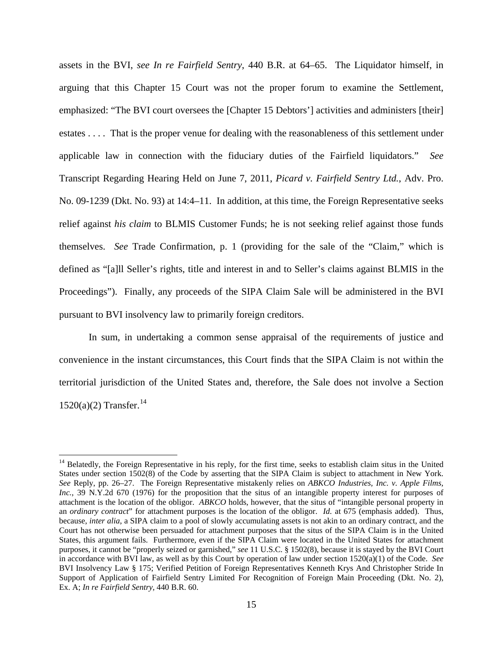assets in the BVI, *see In re Fairfield Sentry*, 440 B.R. at 64–65. The Liquidator himself, in arguing that this Chapter 15 Court was not the proper forum to examine the Settlement, emphasized: "The BVI court oversees the [Chapter 15 Debtors'] activities and administers [their] estates . . . . That is the proper venue for dealing with the reasonableness of this settlement under applicable law in connection with the fiduciary duties of the Fairfield liquidators." *See*  Transcript Regarding Hearing Held on June 7, 2011, *Picard v. Fairfield Sentry Ltd.*, Adv. Pro. No. 09-1239 (Dkt. No. 93) at 14:4–11. In addition, at this time, the Foreign Representative seeks relief against *his claim* to BLMIS Customer Funds; he is not seeking relief against those funds themselves. *See* Trade Confirmation, p. 1 (providing for the sale of the "Claim," which is defined as "[a]ll Seller's rights, title and interest in and to Seller's claims against BLMIS in the Proceedings"). Finally, any proceeds of the SIPA Claim Sale will be administered in the BVI pursuant to BVI insolvency law to primarily foreign creditors.

In sum, in undertaking a common sense appraisal of the requirements of justice and convenience in the instant circumstances, this Court finds that the SIPA Claim is not within the territorial jurisdiction of the United States and, therefore, the Sale does not involve a Section  $1520(a)(2)$  Transfer.<sup>14</sup>

<sup>&</sup>lt;sup>14</sup> Belatedly, the Foreign Representative in his reply, for the first time, seeks to establish claim situs in the United States under section 1502(8) of the Code by asserting that the SIPA Claim is subject to attachment in New York. *See* Reply, pp. 26–27. The Foreign Representative mistakenly relies on *ABKCO Industries, Inc. v. Apple Films, Inc.*, 39 N.Y.2d 670 (1976) for the proposition that the situs of an intangible property interest for purposes of attachment is the location of the obligor. *ABKCO* holds, however, that the situs of "intangible personal property in an *ordinary contract*" for attachment purposes is the location of the obligor. *Id.* at 675 (emphasis added). Thus, because, *inter alia*, a SIPA claim to a pool of slowly accumulating assets is not akin to an ordinary contract, and the Court has not otherwise been persuaded for attachment purposes that the situs of the SIPA Claim is in the United States, this argument fails. Furthermore, even if the SIPA Claim were located in the United States for attachment purposes, it cannot be "properly seized or garnished," *see* 11 U.S.C. § 1502(8), because it is stayed by the BVI Court in accordance with BVI law, as well as by this Court by operation of law under section 1520(a)(1) of the Code. *See*  BVI Insolvency Law § 175; Verified Petition of Foreign Representatives Kenneth Krys And Christopher Stride In Support of Application of Fairfield Sentry Limited For Recognition of Foreign Main Proceeding (Dkt. No. 2), Ex. A; *In re Fairfield Sentry*, 440 B.R. 60.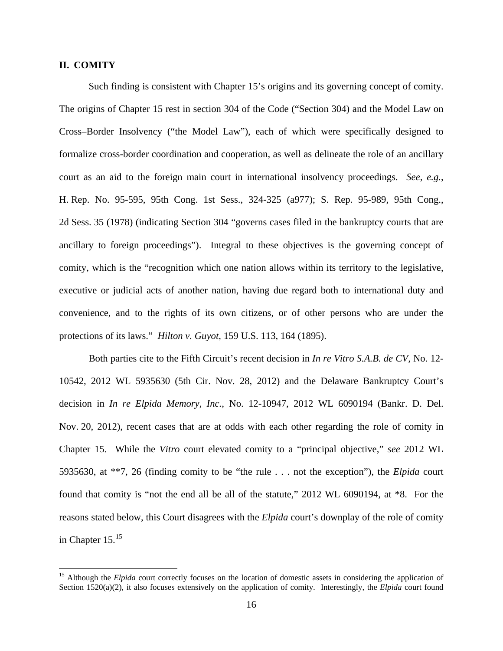## **II. COMITY**

1

Such finding is consistent with Chapter 15's origins and its governing concept of comity. The origins of Chapter 15 rest in section 304 of the Code ("Section 304) and the Model Law on Cross–Border Insolvency ("the Model Law"), each of which were specifically designed to formalize cross-border coordination and cooperation, as well as delineate the role of an ancillary court as an aid to the foreign main court in international insolvency proceedings. *See, e.g.*, H. Rep. No. 95-595, 95th Cong. 1st Sess., 324-325 (a977); S. Rep. 95-989, 95th Cong., 2d Sess. 35 (1978) (indicating Section 304 "governs cases filed in the bankruptcy courts that are ancillary to foreign proceedings"). Integral to these objectives is the governing concept of comity, which is the "recognition which one nation allows within its territory to the legislative, executive or judicial acts of another nation, having due regard both to international duty and convenience, and to the rights of its own citizens, or of other persons who are under the protections of its laws." *Hilton v. Guyot*, 159 U.S. 113, 164 (1895).

Both parties cite to the Fifth Circuit's recent decision in *In re Vitro S.A.B. de CV,* No. 12- 10542, 2012 WL 5935630 (5th Cir. Nov. 28, 2012) and the Delaware Bankruptcy Court's decision in *In re Elpida Memory, Inc.*, No. 12-10947, 2012 WL 6090194 (Bankr. D. Del. Nov. 20, 2012), recent cases that are at odds with each other regarding the role of comity in Chapter 15. While the *Vitro* court elevated comity to a "principal objective," *see* 2012 WL 5935630, at \*\*7, 26 (finding comity to be "the rule . . . not the exception"), the *Elpida* court found that comity is "not the end all be all of the statute," 2012 WL 6090194, at \*8. For the reasons stated below, this Court disagrees with the *Elpida* court's downplay of the role of comity in Chapter  $15.^{15}$ 

<sup>&</sup>lt;sup>15</sup> Although the *Elpida* court correctly focuses on the location of domestic assets in considering the application of Section 1520(a)(2), it also focuses extensively on the application of comity. Interestingly, the *Elpida* court found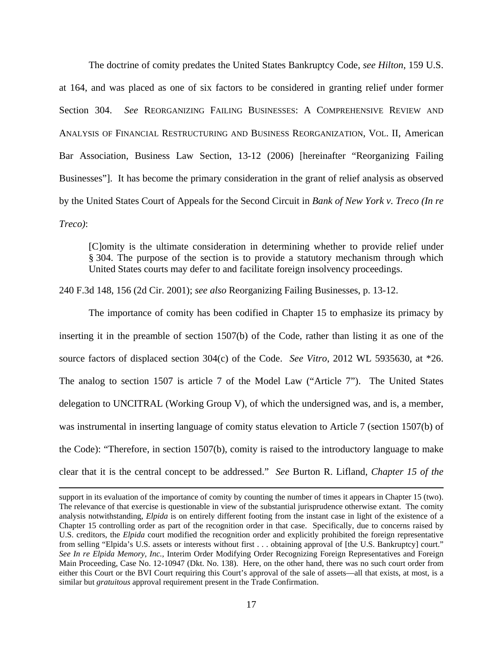The doctrine of comity predates the United States Bankruptcy Code, *see Hilton*, 159 U.S. at 164, and was placed as one of six factors to be considered in granting relief under former Section 304. *See* REORGANIZING FAILING BUSINESSES: A COMPREHENSIVE REVIEW AND ANALYSIS OF FINANCIAL RESTRUCTURING AND BUSINESS REORGANIZATION, VOL. II, American Bar Association, Business Law Section, 13-12 (2006) [hereinafter "Reorganizing Failing Businesses"]. It has become the primary consideration in the grant of relief analysis as observed by the United States Court of Appeals for the Second Circuit in *Bank of New York v. Treco (In re Treco)*:

[C]omity is the ultimate consideration in determining whether to provide relief under § 304. The purpose of the section is to provide a statutory mechanism through which United States courts may defer to and facilitate foreign insolvency proceedings.

240 F.3d 148, 156 (2d Cir. 2001); *see also* Reorganizing Failing Businesses, p. 13-12.

 The importance of comity has been codified in Chapter 15 to emphasize its primacy by inserting it in the preamble of section 1507(b) of the Code, rather than listing it as one of the source factors of displaced section 304(c) of the Code. *See Vitro*, 2012 WL 5935630, at \*26. The analog to section 1507 is article 7 of the Model Law ("Article 7"). The United States delegation to UNCITRAL (Working Group V), of which the undersigned was, and is, a member, was instrumental in inserting language of comity status elevation to Article 7 (section 1507(b) of the Code): "Therefore, in section 1507(b), comity is raised to the introductory language to make clear that it is the central concept to be addressed." *See* Burton R. Lifland, *Chapter 15 of the* 

support in its evaluation of the importance of comity by counting the number of times it appears in Chapter 15 (two). The relevance of that exercise is questionable in view of the substantial jurisprudence otherwise extant. The comity analysis notwithstanding, *Elpida* is on entirely different footing from the instant case in light of the existence of a Chapter 15 controlling order as part of the recognition order in that case. Specifically, due to concerns raised by U.S. creditors, the *Elpida* court modified the recognition order and explicitly prohibited the foreign representative from selling "Elpida's U.S. assets or interests without first . . . obtaining approval of [the U.S. Bankruptcy] court." *See In re Elpida Memory, Inc.*, Interim Order Modifying Order Recognizing Foreign Representatives and Foreign Main Proceeding, Case No. 12-10947 (Dkt. No. 138). Here, on the other hand, there was no such court order from either this Court or the BVI Court requiring this Court's approval of the sale of assets—all that exists, at most, is a similar but *gratuitous* approval requirement present in the Trade Confirmation.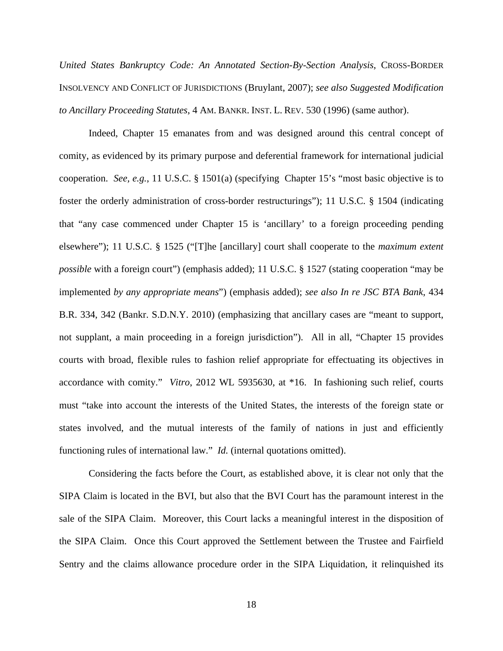*United States Bankruptcy Code: An Annotated Section-By-Section Analysis*, CROSS-BORDER INSOLVENCY AND CONFLICT OF JURISDICTIONS (Bruylant, 2007); *see also Suggested Modification to Ancillary Proceeding Statutes*, 4 AM. BANKR. INST. L. REV. 530 (1996) (same author).

Indeed, Chapter 15 emanates from and was designed around this central concept of comity, as evidenced by its primary purpose and deferential framework for international judicial cooperation. *See, e.g.*, 11 U.S.C. § 1501(a) (specifying Chapter 15's "most basic objective is to foster the orderly administration of cross-border restructurings"); 11 U.S.C. § 1504 (indicating that "any case commenced under Chapter 15 is 'ancillary' to a foreign proceeding pending elsewhere"); 11 U.S.C. § 1525 ("[T]he [ancillary] court shall cooperate to the *maximum extent possible* with a foreign court") (emphasis added); 11 U.S.C. § 1527 (stating cooperation "may be implemented *by any appropriate means*") (emphasis added); *see also In re JSC BTA Bank*, 434 B.R. 334, 342 (Bankr. S.D.N.Y. 2010) (emphasizing that ancillary cases are "meant to support, not supplant, a main proceeding in a foreign jurisdiction"). All in all, "Chapter 15 provides courts with broad, flexible rules to fashion relief appropriate for effectuating its objectives in accordance with comity." *Vitro*, 2012 WL 5935630, at \*16. In fashioning such relief, courts must "take into account the interests of the United States, the interests of the foreign state or states involved, and the mutual interests of the family of nations in just and efficiently functioning rules of international law." *Id.* (internal quotations omitted).

Considering the facts before the Court, as established above, it is clear not only that the SIPA Claim is located in the BVI, but also that the BVI Court has the paramount interest in the sale of the SIPA Claim. Moreover, this Court lacks a meaningful interest in the disposition of the SIPA Claim. Once this Court approved the Settlement between the Trustee and Fairfield Sentry and the claims allowance procedure order in the SIPA Liquidation, it relinquished its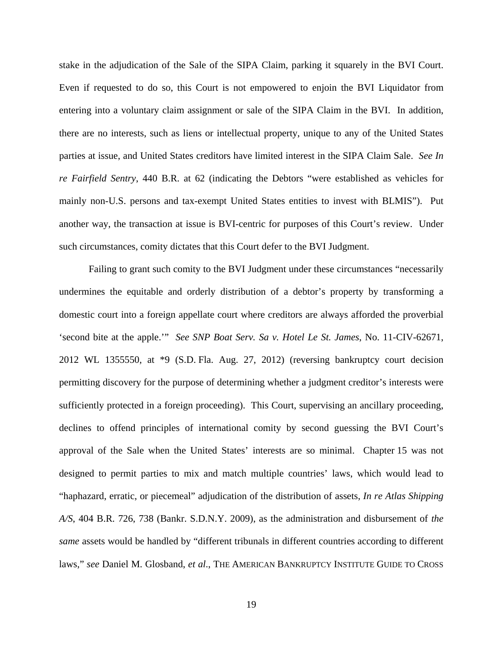stake in the adjudication of the Sale of the SIPA Claim, parking it squarely in the BVI Court. Even if requested to do so, this Court is not empowered to enjoin the BVI Liquidator from entering into a voluntary claim assignment or sale of the SIPA Claim in the BVI. In addition, there are no interests, such as liens or intellectual property, unique to any of the United States parties at issue, and United States creditors have limited interest in the SIPA Claim Sale. *See In re Fairfield Sentry*, 440 B.R. at 62 (indicating the Debtors "were established as vehicles for mainly non-U.S. persons and tax-exempt United States entities to invest with BLMIS"). Put another way, the transaction at issue is BVI-centric for purposes of this Court's review. Under such circumstances, comity dictates that this Court defer to the BVI Judgment.

Failing to grant such comity to the BVI Judgment under these circumstances "necessarily undermines the equitable and orderly distribution of a debtor's property by transforming a domestic court into a foreign appellate court where creditors are always afforded the proverbial 'second bite at the apple.'" *See SNP Boat Serv. Sa v. Hotel Le St. James*, No. 11-CIV-62671, 2012 WL 1355550, at \*9 (S.D. Fla. Aug. 27, 2012) (reversing bankruptcy court decision permitting discovery for the purpose of determining whether a judgment creditor's interests were sufficiently protected in a foreign proceeding). This Court, supervising an ancillary proceeding, declines to offend principles of international comity by second guessing the BVI Court's approval of the Sale when the United States' interests are so minimal. Chapter 15 was not designed to permit parties to mix and match multiple countries' laws, which would lead to "haphazard, erratic, or piecemeal" adjudication of the distribution of assets, *In re Atlas Shipping A/S*, 404 B.R. 726, 738 (Bankr. S.D.N.Y. 2009), as the administration and disbursement of *the same* assets would be handled by "different tribunals in different countries according to different laws," *see* Daniel M. Glosband, *et al*., THE AMERICAN BANKRUPTCY INSTITUTE GUIDE TO CROSS